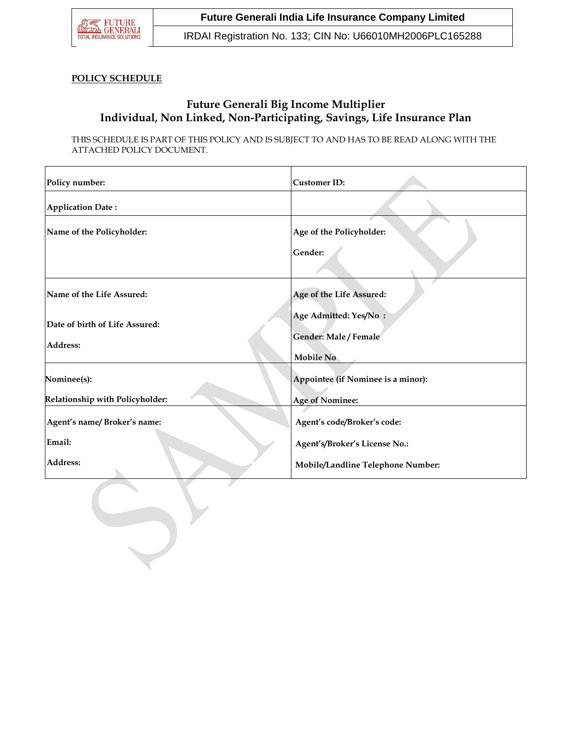

## **Future Generali India Life Insurance Company Limited**

IRDAI Registration No. 133; CIN No: U66010MH2006PLC165288

### **POLICY SCHEDULE**

# **Future Generali Big Income Multiplier Individual, Non Linked, Non-Participating, Savings, Life Insurance Plan**

THIS SCHEDULE IS PART OF THIS POLICY AND IS SUBJECT TO AND HAS TO BE READ ALONG WITH THE ATTACHED POLICY DOCUMENT.

| Policy number:                  | <b>Customer ID:</b>                |  |  |  |  |
|---------------------------------|------------------------------------|--|--|--|--|
| <b>Application Date:</b>        |                                    |  |  |  |  |
| Name of the Policyholder:       | Age of the Policyholder:           |  |  |  |  |
|                                 | Gender:                            |  |  |  |  |
| Name of the Life Assured:       | Age of the Life Assured:           |  |  |  |  |
| Date of birth of Life Assured:  | Age Admitted: Yes/No:              |  |  |  |  |
| Address:                        | Gender: Male / Female<br>Mobile No |  |  |  |  |
| Nominee(s):                     | Appointee (if Nominee is a minor): |  |  |  |  |
| Relationship with Policyholder: | <b>Age of Nominee:</b>             |  |  |  |  |
| Agent's name/Broker's name:     | Agent's code/Broker's code:        |  |  |  |  |
| Email:                          | Agent's/Broker's License No.:      |  |  |  |  |
| Address:                        | Mobile/Landline Telephone Number:  |  |  |  |  |